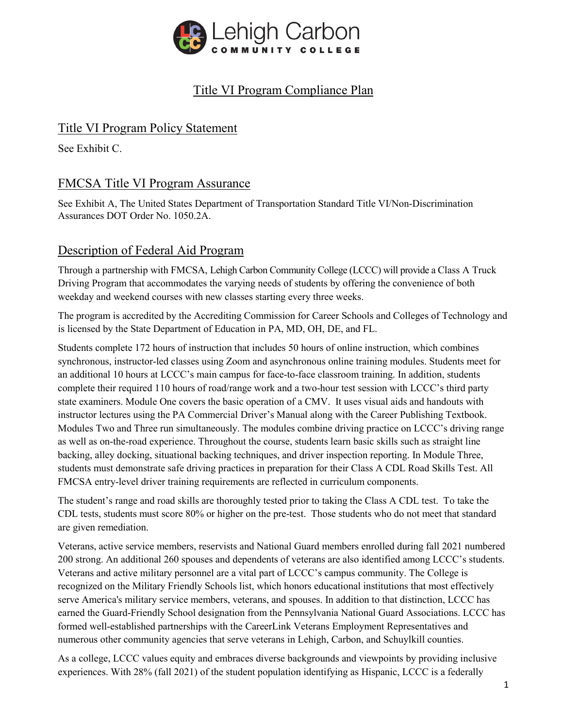

# Title VI Program Compliance Plan

## Title VI Program Policy Statement

See Exhibit C.

## FMCSA Title VI Program Assurance

See Exhibit A, The United States Department of Transportation Standard Title VI/Non-Discrimination Assurances DOT Order No. 1050.2A.

### Description of Federal Aid Program

Through a partnership with FMCSA, Lehigh Carbon Community College (LCCC) will provide a Class A Truck Driving Program that accommodates the varying needs of students by offering the convenience of both weekday and weekend courses with new classes starting every three weeks.

The program is accredited by the Accrediting Commission for Career Schools and Colleges of Technology and is licensed by the State Department of Education in PA, MD, OH, DE, and FL.

Students complete 172 hours of instruction that includes 50 hours of online instruction, which combines synchronous, instructor-led classes using Zoom and asynchronous online training modules. Students meet for an additional 10 hours at LCCC's main campus for face-to-face classroom training. In addition, students complete their required 110 hours of road/range work and a two-hour test session with LCCC's third party state examiners. Module One covers the basic operation of a CMV. It uses visual aids and handouts with instructor lectures using the PA Commercial Driver's Manual along with the Career Publishing Textbook. Modules Two and Three run simultaneously. The modules combine driving practice on LCCC's driving range as well as on-the-road experience. Throughout the course, students learn basic skills such as straight line backing, alley docking, situational backing techniques, and driver inspection reporting. In Module Three, students must demonstrate safe driving practices in preparation for their Class A CDL Road Skills Test. All FMCSA entry-level driver training requirements are reflected in curriculum components.

The student's range and road skills are thoroughly tested prior to taking the Class A CDL test. To take the CDL tests, students must score 80% or higher on the pre-test. Those students who do not meet that standard are given remediation.

Veterans, active service members, reservists and National Guard members enrolled during fall 2021 numbered 200 strong. An additional 260 spouses and dependents of veterans are also identified among LCCC's students. Veterans and active military personnel are a vital part of LCCC's campus community. The College is recognized on the Military Friendly Schools list, which honors educational institutions that most effectively serve America's military service members, veterans, and spouses. In addition to that distinction, LCCC has earned the Guard-Friendly School designation from the Pennsylvania National Guard Associations. LCCC has formed well-established partnerships with the CareerLink Veterans Employment Representatives and numerous other community agencies that serve veterans in Lehigh, Carbon, and Schuylkill counties.

As a college, LCCC values equity and embraces diverse backgrounds and viewpoints by providing inclusive experiences. With 28% (fall 2021) of the student population identifying as Hispanic, LCCC is a federally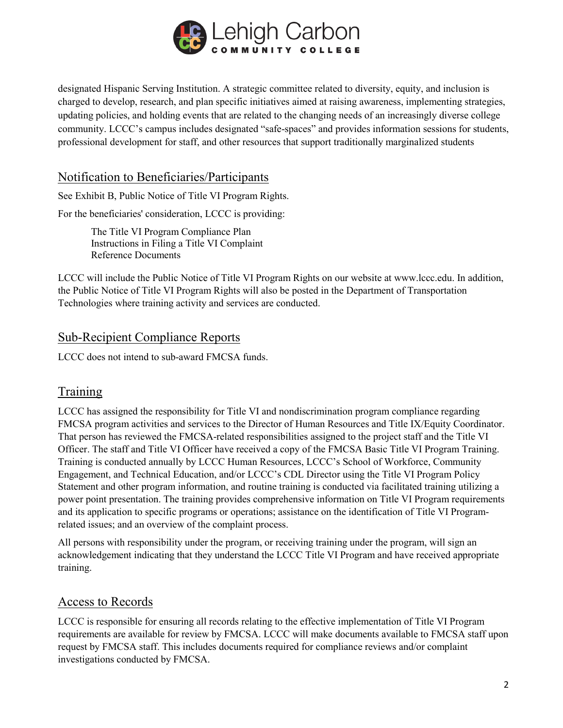

designated Hispanic Serving Institution. A strategic committee related to diversity, equity, and inclusion is charged to develop, research, and plan specific initiatives aimed at raising awareness, implementing strategies, updating policies, and holding events that are related to the changing needs of an increasingly diverse college community. LCCC's campus includes designated "safe-spaces" and provides information sessions for students, professional development for staff, and other resources that support traditionally marginalized students

#### Notification to Beneficiaries/Participants

See Exhibit B, Public Notice of Title VI Program Rights.

For the beneficiaries' consideration, LCCC is providing:

The Title VI Program Compliance Plan Instructions in Filing a Title VI Complaint Reference Documents

LCCC will include the Public Notice of Title VI Program Rights on our website at www.lccc.edu. In addition, the Public Notice of Title VI Program Rights will also be posted in the Department of Transportation Technologies where training activity and services are conducted.

### Sub-Recipient Compliance Reports

LCCC does not intend to sub-award FMCSA funds.

## Training

LCCC has assigned the responsibility for Title VI and nondiscrimination program compliance regarding FMCSA program activities and services to the Director of Human Resources and Title IX/Equity Coordinator. That person has reviewed the FMCSA-related responsibilities assigned to the project staff and the Title VI Officer. The staff and Title VI Officer have received a copy of the FMCSA Basic Title VI Program Training. Training is conducted annually by LCCC Human Resources, LCCC's School of Workforce, Community Engagement, and Technical Education, and/or LCCC's CDL Director using the Title VI Program Policy Statement and other program information, and routine training is conducted via facilitated training utilizing a power point presentation. The training provides comprehensive information on Title VI Program requirements and its application to specific programs or operations; assistance on the identification of Title VI Programrelated issues; and an overview of the complaint process.

All persons with responsibility under the program, or receiving training under the program, will sign an acknowledgement indicating that they understand the LCCC Title VI Program and have received appropriate training.

### Access to Records

LCCC is responsible for ensuring all records relating to the effective implementation of Title VI Program requirements are available for review by FMCSA. LCCC will make documents available to FMCSA staff upon request by FMCSA staff. This includes documents required for compliance reviews and/or complaint investigations conducted by FMCSA.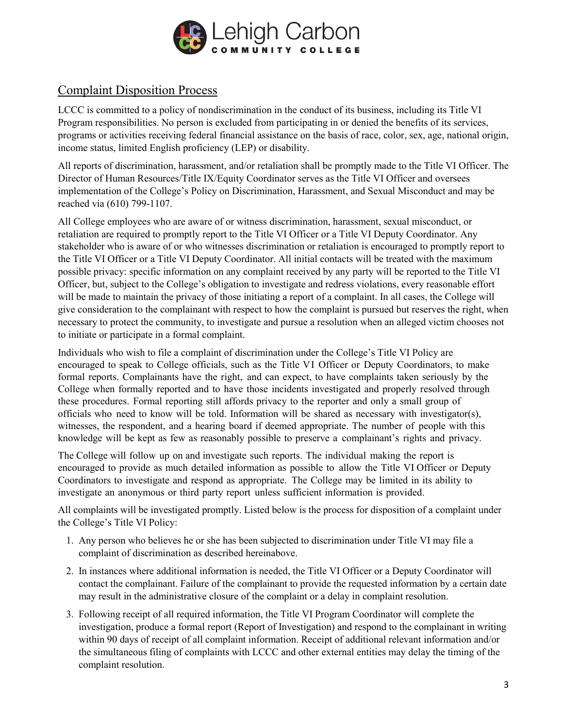

## Complaint Disposition Process

LCCC is committed to a policy of nondiscrimination in the conduct of its business, including its Title VI Program responsibilities. No person is excluded from participating in or denied the benefits of its services, programs or activities receiving federal financial assistance on the basis of race, color, sex, age, national origin, income status, limited English proficiency (LEP) or disability.

All reports of discrimination, harassment, and/or retaliation shall be promptly made to the Title VI Officer. The Director of Human Resources/Title IX/Equity Coordinator serves as the Title VI Officer and oversees implementation of the College's Policy on Discrimination, Harassment, and Sexual Misconduct and may be reached via (610) 799-1107.

All College employees who are aware of or witness discrimination, harassment, sexual misconduct, or retaliation are required to promptly report to the Title VI Officer or a Title VI Deputy Coordinator. Any stakeholder who is aware of or who witnesses discrimination or retaliation is encouraged to promptly report to the Title VI Officer or a Title VI Deputy Coordinator. All initial contacts will be treated with the maximum possible privacy: specific information on any complaint received by any party will be reported to the Title VI Officer, but, subject to the College's obligation to investigate and redress violations, every reasonable effort will be made to maintain the privacy of those initiating a report of a complaint. In all cases, the College will give consideration to the complainant with respect to how the complaint is pursued but reserves the right, when necessary to protect the community, to investigate and pursue a resolution when an alleged victim chooses not to initiate or participate in a formal complaint.

Individuals who wish to file a complaint of discrimination under the College's Title VI Policy are encouraged to speak to College officials, such as the Title VI Officer or Deputy Coordinators, to make formal reports. Complainants have the right, and can expect, to have complaints taken seriously by the College when formally reported and to have those incidents investigated and properly resolved through these procedures. Formal reporting still affords privacy to the reporter and only a small group of officials who need to know will be told. Information will be shared as necessary with investigator(s), witnesses, the respondent, and a hearing board if deemed appropriate. The number of people with this knowledge will be kept as few as reasonably possible to preserve a complainant's rights and privacy.

The College will follow up on and investigate such reports. The individual making the report is encouraged to provide as much detailed information as possible to allow the Title VI Officer or Deputy Coordinators to investigate and respond as appropriate. The College may be limited in its ability to investigate an anonymous or third party report unless sufficient information is provided.

All complaints will be investigated promptly. Listed below is the process for disposition of a complaint under the College's Title VI Policy:

- 1. Any person who believes he or she has been subjected to discrimination under Title VI may file a complaint of discrimination as described hereinabove.
- 2. In instances where additional information is needed, the Title VI Officer or a Deputy Coordinator will contact the complainant. Failure of the complainant to provide the requested information by a certain date may result in the administrative closure of the complaint or a delay in complaint resolution.
- 3. Following receipt of all required information, the Title VI Program Coordinator will complete the investigation, produce a formal report (Report of Investigation) and respond to the complainant in writing within 90 days of receipt of all complaint information. Receipt of additional relevant information and/or the simultaneous filing of complaints with LCCC and other external entities may delay the timing of the complaint resolution.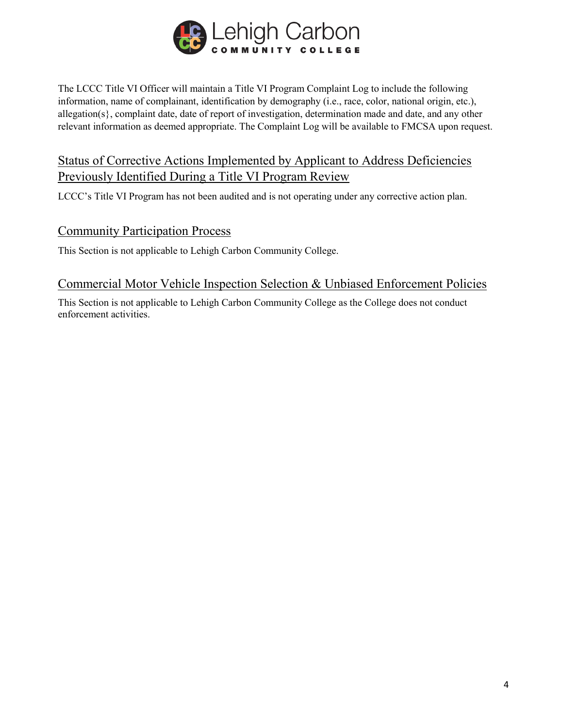

The LCCC Title VI Officer will maintain a Title VI Program Complaint Log to include the following information, name of complainant, identification by demography (i.e., race, color, national origin, etc.), allegation(s}, complaint date, date of report of investigation, determination made and date, and any other relevant information as deemed appropriate. The Complaint Log will be available to FMCSA upon request.

## Status of Corrective Actions Implemented by Applicant to Address Deficiencies Previously Identified During a Title VI Program Review

LCCC's Title VI Program has not been audited and is not operating under any corrective action plan.

#### Community Participation Process

This Section is not applicable to Lehigh Carbon Community College.

#### Commercial Motor Vehicle Inspection Selection & Unbiased Enforcement Policies

This Section is not applicable to Lehigh Carbon Community College as the College does not conduct enforcement activities.